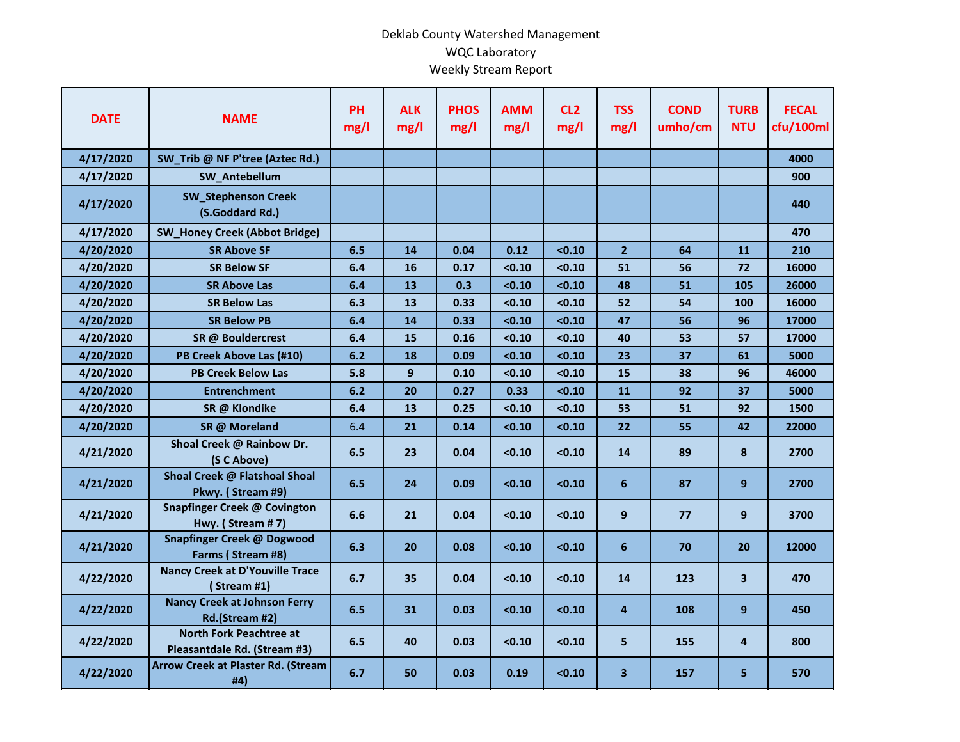## Deklab County Watershed Management WQC Laboratory Weekly Stream Report

| <b>DATE</b> | <b>NAME</b>                                                    | <b>PH</b><br>mg/l | <b>ALK</b><br>mg/l | <b>PHOS</b><br>mg/l | <b>AMM</b><br>mg/l | CL <sub>2</sub><br>mg/l | <b>TSS</b><br>mg/l      | <b>COND</b><br>umho/cm | <b>TURB</b><br><b>NTU</b> | <b>FECAL</b><br>cfu/100ml |
|-------------|----------------------------------------------------------------|-------------------|--------------------|---------------------|--------------------|-------------------------|-------------------------|------------------------|---------------------------|---------------------------|
| 4/17/2020   | SW_Trib @ NF P'tree (Aztec Rd.)                                |                   |                    |                     |                    |                         |                         |                        |                           | 4000                      |
| 4/17/2020   | SW_Antebellum                                                  |                   |                    |                     |                    |                         |                         |                        |                           | 900                       |
| 4/17/2020   | <b>SW_Stephenson Creek</b><br>(S.Goddard Rd.)                  |                   |                    |                     |                    |                         |                         |                        |                           | 440                       |
| 4/17/2020   | <b>SW_Honey Creek (Abbot Bridge)</b>                           |                   |                    |                     |                    |                         |                         |                        |                           | 470                       |
| 4/20/2020   | <b>SR Above SF</b>                                             | 6.5               | 14                 | 0.04                | 0.12               | < 0.10                  | $\overline{2}$          | 64                     | 11                        | 210                       |
| 4/20/2020   | <b>SR Below SF</b>                                             | 6.4               | 16                 | 0.17                | < 0.10             | < 0.10                  | 51                      | 56                     | 72                        | 16000                     |
| 4/20/2020   | <b>SR Above Las</b>                                            | 6.4               | 13                 | 0.3                 | < 0.10             | < 0.10                  | 48                      | 51                     | 105                       | 26000                     |
| 4/20/2020   | <b>SR Below Las</b>                                            | 6.3               | 13                 | 0.33                | < 0.10             | < 0.10                  | 52                      | 54                     | 100                       | 16000                     |
| 4/20/2020   | <b>SR Below PB</b>                                             | 6.4               | 14                 | 0.33                | < 0.10             | < 0.10                  | 47                      | 56                     | 96                        | 17000                     |
| 4/20/2020   | SR @ Bouldercrest                                              | 6.4               | 15                 | 0.16                | < 0.10             | < 0.10                  | 40                      | 53                     | 57                        | 17000                     |
| 4/20/2020   | PB Creek Above Las (#10)                                       | 6.2               | 18                 | 0.09                | < 0.10             | < 0.10                  | 23                      | 37                     | 61                        | 5000                      |
| 4/20/2020   | <b>PB Creek Below Las</b>                                      | 5.8               | 9                  | 0.10                | < 0.10             | < 0.10                  | 15                      | 38                     | 96                        | 46000                     |
| 4/20/2020   | <b>Entrenchment</b>                                            | 6.2               | 20                 | 0.27                | 0.33               | < 0.10                  | 11                      | 92                     | 37                        | 5000                      |
| 4/20/2020   | SR @ Klondike                                                  | 6.4               | 13                 | 0.25                | < 0.10             | < 0.10                  | 53                      | 51                     | 92                        | 1500                      |
| 4/20/2020   | SR @ Moreland                                                  | 6.4               | 21                 | 0.14                | < 0.10             | < 0.10                  | 22                      | 55                     | 42                        | 22000                     |
| 4/21/2020   | Shoal Creek @ Rainbow Dr.<br>(S C Above)                       | 6.5               | 23                 | 0.04                | < 0.10             | < 0.10                  | 14                      | 89                     | 8                         | 2700                      |
| 4/21/2020   | Shoal Creek @ Flatshoal Shoal<br>Pkwy. (Stream #9)             | 6.5               | 24                 | 0.09                | < 0.10             | < 0.10                  | 6                       | 87                     | 9                         | 2700                      |
| 4/21/2020   | Snapfinger Creek @ Covington<br>Hwy. (Stream #7)               | 6.6               | 21                 | 0.04                | < 0.10             | < 0.10                  | 9                       | 77                     | 9                         | 3700                      |
| 4/21/2020   | <b>Snapfinger Creek @ Dogwood</b><br>Farms (Stream #8)         | 6.3               | 20                 | 0.08                | < 0.10             | < 0.10                  | $6\phantom{1}$          | 70                     | 20                        | 12000                     |
| 4/22/2020   | <b>Nancy Creek at D'Youville Trace</b><br>(Stream #1)          | 6.7               | 35                 | 0.04                | < 0.10             | < 0.10                  | 14                      | 123                    | 3 <sup>1</sup>            | 470                       |
| 4/22/2020   | <b>Nancy Creek at Johnson Ferry</b><br>Rd.(Stream #2)          | 6.5               | 31                 | 0.03                | < 0.10             | < 0.10                  | 4                       | 108                    | 9                         | 450                       |
| 4/22/2020   | <b>North Fork Peachtree at</b><br>Pleasantdale Rd. (Stream #3) | 6.5               | 40                 | 0.03                | < 0.10             | < 0.10                  | 5                       | 155                    | 4                         | 800                       |
| 4/22/2020   | <b>Arrow Creek at Plaster Rd. (Stream</b><br>#4)               | 6.7               | 50                 | 0.03                | 0.19               | < 0.10                  | $\overline{\mathbf{3}}$ | 157                    | 5                         | 570                       |